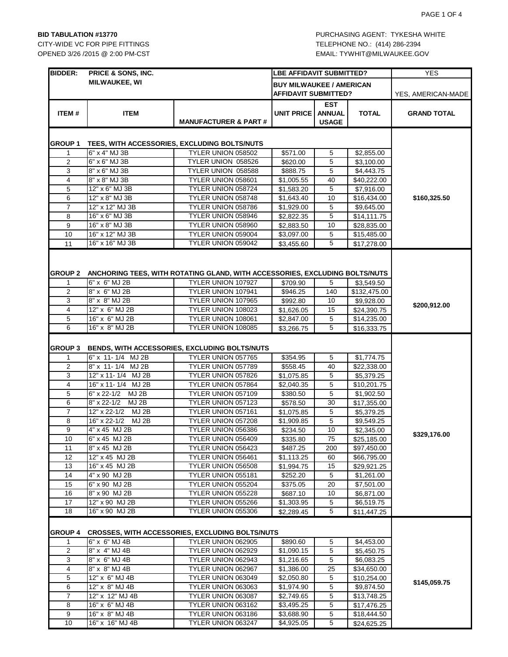OPENED 3/26 /2015 @ 2:00 PM-CST CONSULTER SOLUTION CONSULTION FOR EMAIL: TYWHIT@MILWAUKEE.GOV

| <b>BIDDER:</b>      | <b>PRICE &amp; SONS, INC.</b>     |                                                                                                   | <b>LBE AFFIDAVIT SUBMITTED?</b>                                |                                             | <b>YES</b>                 |                    |
|---------------------|-----------------------------------|---------------------------------------------------------------------------------------------------|----------------------------------------------------------------|---------------------------------------------|----------------------------|--------------------|
|                     | <b>MILWAUKEE, WI</b>              |                                                                                                   | <b>BUY MILWAUKEE / AMERICAN</b><br><b>AFFIDAVIT SUBMITTED?</b> |                                             |                            |                    |
|                     |                                   |                                                                                                   |                                                                |                                             |                            | YES, AMERICAN-MADE |
| ITEM#               | <b>ITEM</b>                       | <b>MANUFACTURER &amp; PART#</b>                                                                   | UNIT PRICE                                                     | <b>EST</b><br><b>ANNUAL</b><br><b>USAGE</b> | <b>TOTAL</b>               | <b>GRAND TOTAL</b> |
|                     |                                   |                                                                                                   |                                                                |                                             |                            |                    |
| GROUP 1             |                                   | TEES, WITH ACCESSORIES, EXCLUDING BOLTS/NUTS                                                      |                                                                |                                             |                            |                    |
| $\mathbf{1}$        | 6" x 4" MJ 3B                     | TYLER UNION 058502                                                                                | \$571.00                                                       | 5                                           | \$2,855.00                 |                    |
| 2                   | 6" x 6" MJ 3B                     | TYLER UNION 058526                                                                                | \$620.00                                                       | 5                                           | \$3,100.00                 |                    |
| 3                   | 8" x 6" MJ 3B                     | TYLER UNION 058588                                                                                | \$888.75                                                       | 5                                           | \$4,443.75                 |                    |
| $\overline{4}$      | 8" x 8" MJ 3B                     | TYLER UNION 058601                                                                                | \$1,005.55                                                     | 40                                          | \$40,222.00                |                    |
| 5                   | 12" x 6" MJ 3B                    | TYLER UNION 058724                                                                                | \$1,583.20                                                     | 5                                           | \$7,916.00                 |                    |
| 6                   | 12" x 8" MJ 3B                    | TYLER UNION 058748                                                                                | \$1,643.40                                                     | 10                                          | \$16,434.00                | \$160,325.50       |
| 7<br>8              | 12" x 12" MJ 3B<br>16" x 6" MJ 3B | TYLER UNION 058786<br>TYLER UNION 058946                                                          | \$1,929.00                                                     | 5<br>5                                      | \$9,645.00                 |                    |
| 9                   | 16" x 8" MJ 3B                    | TYLER UNION 058960                                                                                | \$2,822.35<br>\$2,883.50                                       | 10                                          | \$14,111.75                |                    |
| 10                  | 16" x 12" MJ 3B                   | TYLER UNION 059004                                                                                | $\overline{$}3,097.00$                                         | 5                                           | \$28,835.00<br>\$15,485.00 |                    |
| 11                  | 16" x 16" MJ 3B                   | TYLER UNION 059042                                                                                | \$3,455.60                                                     | 5                                           | \$17,278.00                |                    |
| <b>GROUP 2</b><br>1 | 6" x 6" MJ 2B                     | ANCHORING TEES, WITH ROTATING GLAND, WITH ACCESSORIES, EXCLUDING BOLTS/NUTS<br>TYLER UNION 107927 | \$709.90                                                       | 5                                           | \$3,549.50                 |                    |
| 2                   | 8" x 6" MJ 2B                     | TYLER UNION 107941                                                                                | \$946.25                                                       | 140                                         | \$132,475.00               |                    |
| 3                   | 8" x 8" MJ 2B                     | TYLER UNION 107965                                                                                | \$992.80                                                       | 10                                          | \$9,928.00                 |                    |
| $\overline{4}$      | 12" x 6" MJ 2B                    | TYLER UNION 108023                                                                                | \$1,626.05                                                     | 15                                          | \$24,390.75                | \$200,912.00       |
| 5                   | 16" x 6" MJ 2B                    | TYLER UNION 108061                                                                                | \$2,847.00                                                     | 5                                           | \$14,235.00                |                    |
| 6                   | 16" x 8" MJ 2B                    | TYLER UNION 108085                                                                                | \$3,266.75                                                     | 5                                           | \$16,333.75                |                    |
| <b>GROUP 3</b><br>1 | 6" x 11-1/4 MJ 2B                 | BENDS, WITH ACCESSORIES, EXCLUDING BOLTS/NUTS<br>TYLER UNION 057765                               | \$354.95                                                       | 5                                           | \$1,774.75                 |                    |
| 2                   | 8" x 11-1/4 MJ 2B                 | TYLER UNION 057789                                                                                | \$558.45                                                       | 40                                          | \$22,338.00                |                    |
| 3                   | 12" x 11-1/4 MJ 2B                | TYLER UNION 057826                                                                                | \$1,075.85                                                     | 5                                           | \$5,379.25                 |                    |
| 4                   | 16" x 11-1/4 MJ 2B                | TYLER UNION 057864                                                                                | \$2,040.35                                                     | 5                                           | \$10,201.75                |                    |
| 5                   | 6" x 22-1/2 MJ 2B                 | TYLER UNION 057109                                                                                | \$380.50                                                       | 5                                           | \$1,902.50                 |                    |
| 6                   | $8" \times 22 - 1/2$<br>MJ 2B     | TYLER UNION 057123                                                                                | \$578.50                                                       | 30                                          | \$17,355.00                |                    |
| $\overline{7}$      | 12" x 22-1/2 MJ 2B                | TYLER UNION 057161                                                                                | \$1,075.85                                                     | 5                                           | \$5,379.25                 |                    |
| 8                   | 16" x 22-1/2 MJ 2B                | TYLER UNION 057208                                                                                | \$1,909.85                                                     | 5                                           | \$9,549.25                 |                    |
| $\boldsymbol{9}$    | 4" x 45 MJ 2B                     | TYLER UNION 056386                                                                                | \$234.50                                                       | 10                                          | \$2,345.00                 | \$329,176.00       |
| 10                  | 6" x 45 MJ 2B                     | TYLER UNION 056409                                                                                | \$335.80                                                       | 75                                          | \$25,185.00                |                    |
| 11                  | 8" x 45 MJ 2B                     | TYLER UNION 056423                                                                                | \$487.25                                                       | 200                                         | \$97,450.00                |                    |
| 12                  | 12" x 45 MJ 2B                    | TYLER UNION 056461                                                                                | \$1,113.25                                                     | 60                                          | \$66,795.00                |                    |
| 13<br>14            | 16" x 45 MJ 2B<br>4" x 90 MJ 2B   | TYLER UNION 056508<br>TYLER UNION 055181                                                          | \$1,994.75                                                     | 15<br>5                                     | \$29,921.25                |                    |
| 15                  | 6" x 90 MJ 2B                     | TYLER UNION 055204                                                                                | \$252.20<br>\$375.05                                           | 20                                          | \$1,261.00<br>\$7,501.00   |                    |
| 16                  | 8" x 90 MJ 2B                     | TYLER UNION 055228                                                                                | \$687.10                                                       | 10                                          | \$6,871.00                 |                    |
| 17                  | 12" x 90 MJ 2B                    | TYLER UNION 055266                                                                                | \$1,303.95                                                     | 5                                           | \$6,519.75                 |                    |
| 18                  | 16" x 90 MJ 2B                    | TYLER UNION 055306                                                                                | \$2,289.45                                                     | 5                                           | \$11,447.25                |                    |
| <b>GROUP 4</b>      |                                   | <b>CROSSES, WITH ACCESSORIES, EXCLUDING BOLTS/NUTS</b>                                            |                                                                |                                             |                            |                    |
| 1                   | 6" x 6" MJ 4B                     | TYLER UNION 062905                                                                                | \$890.60                                                       | 5                                           | \$4,453.00                 |                    |
| $\overline{2}$      | 8" x 4" MJ 4B                     | TYLER UNION 062929                                                                                | \$1,090.15                                                     | 5                                           | \$5,450.75                 |                    |
| 3                   | 8" x 6" MJ 4B                     | TYLER UNION 062943                                                                                | \$1,216.65                                                     | 5                                           | \$6,083.25                 |                    |
| $\overline{4}$      | 8" x 8" MJ 4B                     | TYLER UNION 062967                                                                                | \$1,386.00                                                     | 25                                          | \$34,650.00                |                    |
| 5<br>6              | 12" x 6" MJ 4B<br>12" x 8" MJ 4B  | TYLER UNION 063049<br>TYLER UNION 063063                                                          | \$2,050.80                                                     | 5                                           | \$10,254.00                | \$145,059.75       |
| $\overline{7}$      | 12" x 12" MJ 4B                   | TYLER UNION 063087                                                                                | \$1,974.90<br>\$2,749.65                                       | 5<br>5                                      | \$9,874.50<br>\$13,748.25  |                    |
| 8                   | 16" x 6" MJ 4B                    | TYLER UNION 063162                                                                                | \$3,495.25                                                     | 5                                           | \$17,476.25                |                    |
| 9                   | 16" x 8" MJ 4B                    | TYLER UNION 063186                                                                                | \$3,688.90                                                     | 5                                           | \$18,444.50                |                    |
| 10                  | 16" x 16" MJ 4B                   | TYLER UNION 063247                                                                                | \$4,925.05                                                     | 5                                           | \$24,625.25                |                    |
|                     |                                   |                                                                                                   |                                                                |                                             |                            |                    |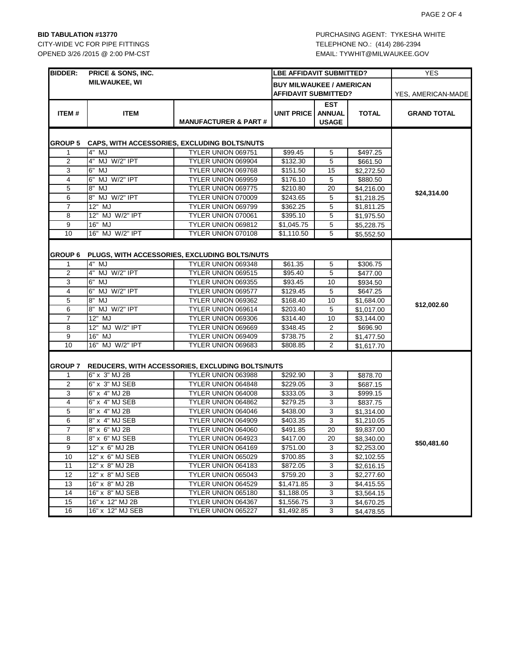OPENED 3/26 /2015 @ 2:00 PM-CST CONSULTER SOLUTION CONSULTION FOR EMAIL: TYWHIT@MILWAUKEE.GOV

| <b>BIDDER:</b> | PRICE & SONS, INC.                |                                                                        | <b>LBE AFFIDAVIT SUBMITTED?</b>                         |                                      |              | <b>YES</b>         |
|----------------|-----------------------------------|------------------------------------------------------------------------|---------------------------------------------------------|--------------------------------------|--------------|--------------------|
|                | <b>MILWAUKEE, WI</b>              |                                                                        | <b>BUY MILWAUKEE / AMERICAN</b><br>AFFIDAVIT SUBMITTED? |                                      |              | YES, AMERICAN-MADE |
| ITEM#          | <b>ITEM</b>                       | <b>MANUFACTURER &amp; PART#</b>                                        | UNIT PRICE                                              | EST<br><b>ANNUAL</b><br><b>USAGE</b> | <b>TOTAL</b> | <b>GRAND TOTAL</b> |
| <b>GROUP 5</b> |                                   | CAPS, WITH ACCESSORIES, EXCLUDING BOLTS/NUTS                           |                                                         |                                      |              |                    |
| 1              | 4" MJ                             | TYLER UNION 069751                                                     | \$99.45                                                 | 5                                    | \$497.25     |                    |
| $\overline{2}$ | 4" MJ W/2" IPT                    | TYLER UNION 069904                                                     | \$132.30                                                | 5                                    | \$661.50     |                    |
| 3              | 6" MJ                             | TYLER UNION 069768                                                     | \$151.50                                                | 15                                   | \$2,272.50   |                    |
| 4              | 6" MJ W/2" IPT                    | TYLER UNION 069959                                                     | \$176.10                                                | 5                                    | \$880.50     |                    |
| 5              | $8"$ MJ                           | TYLER UNION 069775                                                     | \$210.80                                                | 20                                   | \$4,216.00   |                    |
| 6              | 8" MJ W/2" IPT                    | TYLER UNION 070009                                                     | \$243.65                                                | 5                                    | \$1,218.25   | \$24,314.00        |
| $\overline{7}$ | 12" MJ                            | TYLER UNION 069799                                                     | \$362.25                                                | 5                                    | \$1,811.25   |                    |
| 8              | 12" MJ W/2" IPT                   | TYLER UNION 070061                                                     | \$395.10                                                | 5                                    | \$1,975.50   |                    |
| 9              | 16" MJ                            | TYLER UNION 069812                                                     | \$1,045.75                                              | 5                                    | \$5,228.75   |                    |
| 10             | 16" MJ W/2" IPT                   | TYLER UNION 070108                                                     | \$1,110.50                                              | 5                                    | \$5,552.50   |                    |
|                |                                   |                                                                        |                                                         |                                      |              |                    |
| <b>GROUP 6</b> |                                   | PLUGS, WITH ACCESSORIES, EXCLUDING BOLTS/NUTS                          |                                                         |                                      |              |                    |
| 1              | 4" MJ                             | TYLER UNION 069348                                                     | \$61.35                                                 | 5                                    | \$306.75     |                    |
| 2              | 4" MJ W/2" IPT                    | TYLER UNION 069515                                                     | \$95.40                                                 | 5                                    | \$477.00     |                    |
| 3              | 6" MJ                             | TYLER UNION 069355                                                     | \$93.45                                                 | 10                                   | \$934.50     |                    |
| 4              | 6" MJ W/2" IPT                    | TYLER UNION 069577                                                     | \$129.45                                                | 5                                    | \$647.25     |                    |
| 5              | 8" MJ                             | TYLER UNION 069362                                                     | \$168.40                                                | 10                                   | \$1,684.00   |                    |
| 6              | 8" MJ W/2" IPT                    | TYLER UNION 069614                                                     | \$203.40                                                | 5                                    | \$1,017.00   | \$12,002.60        |
| $\overline{7}$ | 12" MJ                            | TYLER UNION 069306                                                     | \$314.40                                                | 10                                   | \$3,144.00   |                    |
| 8              | 12" MJ W/2" IPT                   | TYLER UNION 069669                                                     | \$348.45                                                | 2                                    | \$696.90     |                    |
| 9              | 16" MJ                            | TYLER UNION 069409                                                     | \$738.75                                                | 2                                    | \$1,477.50   |                    |
| 10             | 16" MJ W/2" IPT                   | TYLER UNION 069683                                                     | \$808.85                                                | $\overline{2}$                       | \$1,617.70   |                    |
| GROUP 7        | 6" x 3" MJ 2B                     | REDUCERS, WITH ACCESSORIES, EXCLUDING BOLTS/NUTS<br>TYLER UNION 063988 | \$292.90                                                |                                      | \$878.70     |                    |
| 1<br>2         | 6" x 3" MJ SEB                    | TYLER UNION 064848                                                     | \$229.05                                                | 3<br>3                               | \$687.15     |                    |
| 3              | 6" x 4" MJ 2B                     | TYLER UNION 064008                                                     | \$333.05                                                | 3                                    |              |                    |
| 4              | 6" x 4" MJ SEB                    | TYLER UNION 064862                                                     | \$279.25                                                | 3                                    | \$999.15     |                    |
| 5              | 8" x 4" MJ 2B                     | TYLER UNION 064046                                                     | \$438.00                                                | 3                                    | \$837.75     |                    |
| 6              |                                   |                                                                        |                                                         | 3                                    | \$1,314.00   |                    |
| $\overline{7}$ | 8" x 4" MJ SEB<br>8" x 6" MJ 2B   | TYLER UNION 064909                                                     | \$403.35                                                |                                      | \$1,210.05   |                    |
| $\overline{8}$ | 8" x 6" MJ SEB                    | TYLER UNION 064060                                                     | \$491.85                                                | 20<br>20                             | \$9,837.00   |                    |
|                |                                   | TYLER UNION 064923                                                     | \$417.00                                                |                                      | \$8,340.00   | \$50,481.60        |
| 9              | 12" x 6" MJ 2B                    | TYLER UNION 064169                                                     | \$751.00                                                | 3                                    | \$2,253.00   |                    |
| 10<br>11       | 12" x 6" MJ SEB<br>12" x 8" MJ 2B | TYLER UNION 065029                                                     | \$700.85                                                | 3                                    | \$2,102.55   |                    |
| 12             | 12" x 8" MJ SEB                   | TYLER UNION 064183<br>TYLER UNION 065043                               | \$872.05                                                | 3<br>3                               | \$2,616.15   |                    |
| 13             | 16" x 8" MJ 2B                    | TYLER UNION 064529                                                     | \$759.20<br>\$1,471.85                                  | 3                                    | \$2,277.60   |                    |
| 14             | 16" x 8" MJ SEB                   | TYLER UNION 065180                                                     |                                                         | 3                                    | \$4,415.55   |                    |
| 15             | 16" x 12" MJ 2B                   | TYLER UNION 064367                                                     | \$1,188.05<br>\$1,556.75                                | 3                                    | \$3,564.15   |                    |
|                |                                   |                                                                        |                                                         |                                      | \$4,670.25   |                    |
| 16             | 16" x 12" MJ SEB                  | TYLER UNION 065227                                                     | \$1,492.85                                              | 3                                    | \$4,478.55   |                    |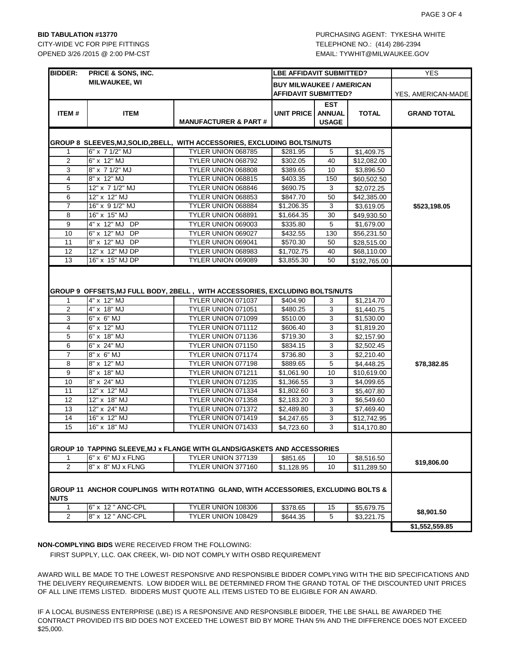CITY-WIDE VC FOR PIPE FITTINGS TELEPHONE NO.: (414) 286-2394 OPENED 3/26 /2015 @ 2:00 PM-CST EMAIL: TYWHIT@MILWAUKEE.GOV

| <b>BIDDER:</b>                                                         | <b>PRICE &amp; SONS, INC.</b> | LBE AFFIDAVIT SUBMITTED?                                                           |                                                         |                                             | <b>YES</b>               |                    |
|------------------------------------------------------------------------|-------------------------------|------------------------------------------------------------------------------------|---------------------------------------------------------|---------------------------------------------|--------------------------|--------------------|
|                                                                        | <b>MILWAUKEE, WI</b>          |                                                                                    | <b>BUY MILWAUKEE / AMERICAN</b><br>AFFIDAVIT SUBMITTED? |                                             |                          | YES, AMERICAN-MADE |
| ITEM#                                                                  | <b>ITEM</b>                   | <b>MANUFACTURER &amp; PART#</b>                                                    | <b>UNIT PRICE</b>                                       | <b>EST</b><br><b>ANNUAL</b><br><b>USAGE</b> | <b>TOTAL</b>             | <b>GRAND TOTAL</b> |
| GROUP 8 SLEEVES,MJ,SOLID,2BELL, WITH ACCESSORIES, EXCLUDING BOLTS/NUTS |                               |                                                                                    |                                                         |                                             |                          |                    |
| 1                                                                      | 6" x 7 1/2" MJ                | TYLER UNION 068785                                                                 | \$281.95                                                | 5                                           | \$1,409.75               |                    |
| 2                                                                      | 6" x 12" MJ                   | TYLER UNION 068792                                                                 | \$302.05                                                | 40                                          | \$12,082.00              |                    |
| 3                                                                      | 8" x 7 1/2" MJ                | TYLER UNION 068808                                                                 | \$389.65                                                | 10                                          | \$3,896.50               |                    |
| 4                                                                      | 8" x 12" MJ                   | TYLER UNION 068815                                                                 | \$403.35                                                | 150                                         | \$60,502.50              |                    |
| 5                                                                      | 12" x 7 1/2" MJ               | TYLER UNION 068846                                                                 | \$690.75                                                | 3                                           | \$2,072.25               |                    |
| 6                                                                      | 12" x 12" MJ                  | TYLER UNION 068853                                                                 | \$847.70                                                | 50                                          | \$42,385.00              |                    |
| $\overline{7}$                                                         | 16" x 9 1/2" MJ               | TYLER UNION 068884                                                                 | \$1,206.35                                              | 3                                           | \$3,619.05               | \$523,198.05       |
| 8                                                                      | 16" x 15" MJ                  | TYLER UNION 068891                                                                 | \$1,664.35                                              | 30                                          | \$49,930.50              |                    |
| 9                                                                      | 4" x 12" MJ DP                | TYLER UNION 069003                                                                 | \$335.80                                                | 5                                           | \$1,679.00               |                    |
| 10                                                                     | 6" x 12" MJ DP                | TYLER UNION 069027                                                                 | \$432.55                                                | 130                                         | \$56,231.50              |                    |
| 11                                                                     | 8" x 12" MJ DP                | TYLER UNION 069041                                                                 | \$570.30                                                | 50                                          | \$28,515.00              |                    |
| 12                                                                     | 12" x 12" MJ DP               | TYLER UNION 068983                                                                 | \$1,702.75                                              | 40                                          | \$68,110.00              |                    |
| 13                                                                     | 16" x 15" MJ DP               | TYLER UNION 069089                                                                 | \$3,855.30                                              | 50                                          | \$192,765.00             |                    |
| 1<br>2                                                                 | 4" x 12" MJ<br>4" x 18" MJ    | TYLER UNION 071037<br>TYLER UNION 071051                                           | \$404.90<br>\$480.25                                    | 3<br>3                                      | \$1,214.70<br>\$1,440.75 |                    |
| 3                                                                      | 6" x 6" MJ                    | TYLER UNION 071099                                                                 | \$510.00                                                | 3                                           | \$1,530.00               |                    |
| $\overline{4}$                                                         | 6" x 12" MJ                   | TYLER UNION 071112                                                                 | \$606.40                                                | 3                                           | \$1,819.20               |                    |
| 5                                                                      | 6" x 18" MJ                   | TYLER UNION 071136                                                                 | \$719.30                                                | 3                                           | \$2,157.90               |                    |
| 6                                                                      | 6" x 24" MJ                   | TYLER UNION 071150                                                                 | \$834.15                                                | 3                                           | \$2,502.45               |                    |
| $\overline{7}$                                                         | 8" x 6" MJ                    | TYLER UNION 071174                                                                 | \$736.80                                                | 3                                           | \$2,210.40               |                    |
| 8                                                                      | 8" x 12" MJ                   | TYLER UNION 077198                                                                 | \$889.65                                                | 5                                           | \$4,448.25               | \$78,382.85        |
| 9                                                                      | 8" x 18" MJ                   | TYLER UNION 071211                                                                 | \$1,061.90                                              | 10                                          | \$10,619.00              |                    |
| 10                                                                     | 8" x 24" MJ                   | TYLER UNION 071235                                                                 | \$1,366.55                                              | 3                                           | \$4,099.65               |                    |
| 11                                                                     | 12" x 12" MJ                  | TYLER UNION 071334                                                                 | \$1,802.60                                              | 3                                           | \$5,407.80               |                    |
| 12                                                                     | 12" x 18" MJ                  | TYLER UNION 071358                                                                 | \$2,183.20                                              | 3                                           | \$6,549.60               |                    |
| 13                                                                     | 12" x 24" MJ                  | TYLER UNION 071372                                                                 | \$2,489.80                                              | 3                                           | \$7,469.40               |                    |
| 14                                                                     | 16" x 12" MJ                  | TYLER UNION 071419                                                                 | \$4,247.65                                              | 3                                           | \$12,742.95              |                    |
| 15                                                                     | 16" x 18" MJ                  | TYLER UNION 071433                                                                 | \$4,723.60                                              | 3                                           | \$14,170.80              |                    |
|                                                                        |                               | GROUP 10 TAPPING SLEEVE, MJ x FLANGE WITH GLANDS/GASKETS AND ACCESSORIES           |                                                         |                                             |                          |                    |
| 1                                                                      | 6" x 6" MJ x FLNG             | TYLER UNION 377139                                                                 | \$851.65                                                | 10                                          | \$8,516.50               | \$19,806.00        |
| $\overline{2}$                                                         | 8" x 8" MJ x FLNG             | TYLER UNION 377160                                                                 | \$1,128.95                                              | 10                                          | \$11,289.50              |                    |
| <b>NUTS</b>                                                            |                               | GROUP 11 ANCHOR COUPLINGS WITH ROTATING GLAND, WITH ACCESSORIES, EXCLUDING BOLTS & |                                                         |                                             |                          |                    |
| 1                                                                      | 6" x 12 " ANC-CPL             | TYLER UNION 108306                                                                 | \$378.65                                                | 15                                          | \$5,679.75               |                    |
| $\overline{2}$                                                         | 8" x 12 " ANC-CPL             | TYLER UNION 108429                                                                 | \$644.35                                                | 5                                           | \$3,221.75               | \$8,901.50         |
|                                                                        |                               |                                                                                    |                                                         |                                             |                          | \$1,552,559.85     |

**NON-COMPLYING BIDS** WERE RECEIVED FROM THE FOLLOWING:

FIRST SUPPLY, LLC. OAK CREEK, WI- DID NOT COMPLY WITH OSBD REQUIREMENT

AWARD WILL BE MADE TO THE LOWEST RESPONSIVE AND RESPONSIBLE BIDDER COMPLYING WITH THE BID SPECIFICATIONS AND THE DELIVERY REQUIREMENTS. LOW BIDDER WILL BE DETERMINED FROM THE GRAND TOTAL OF THE DISCOUNTED UNIT PRICES OF ALL LINE ITEMS LISTED. BIDDERS MUST QUOTE ALL ITEMS LISTED TO BE ELIGIBLE FOR AN AWARD.

IF A LOCAL BUSINESS ENTERPRISE (LBE) IS A RESPONSIVE AND RESPONSIBLE BIDDER, THE LBE SHALL BE AWARDED THE CONTRACT PROVIDED ITS BID DOES NOT EXCEED THE LOWEST BID BY MORE THAN 5% AND THE DIFFERENCE DOES NOT EXCEED \$25,000.